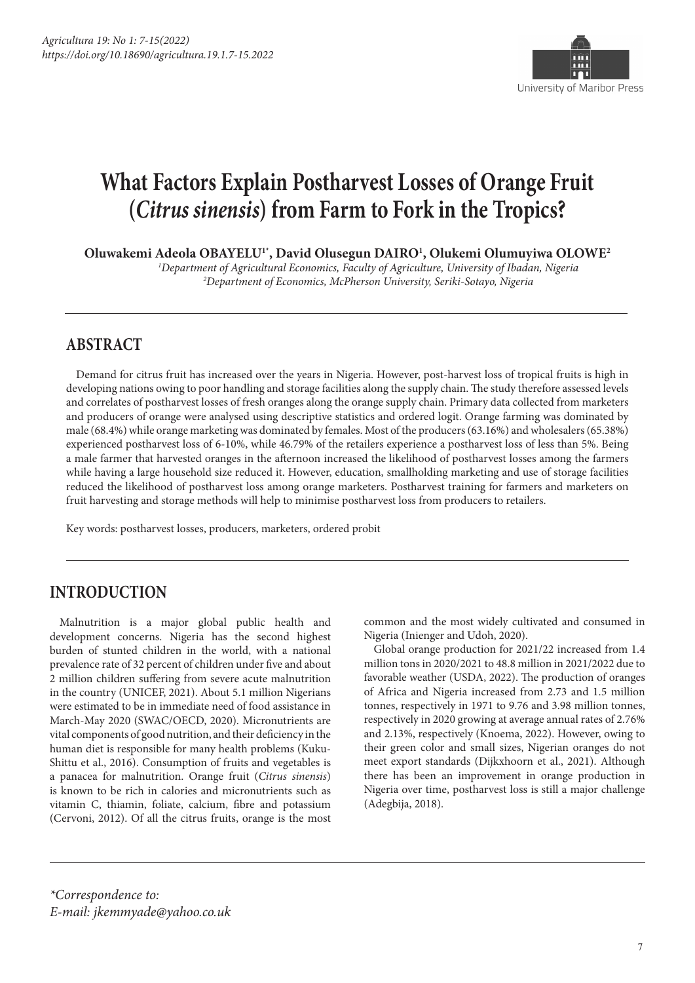

# **What Factors Explain Postharvest Losses of Orange Fruit (***Citrus sinensis***) from Farm to Fork in the Tropics?**

**Oluwakemi Adeola OBAYELU1\*, David Olusegun DAIRO1 , Olukemi Olumuyiwa OLOWE2**

*1 Department of Agricultural Economics, Faculty of Agriculture, University of Ibadan, Nigeria 2 Department of Economics, McPherson University, Seriki-Sotayo, Nigeria*

### **ABSTRACT**

Demand for citrus fruit has increased over the years in Nigeria. However, post-harvest loss of tropical fruits is high in developing nations owing to poor handling and storage facilities along the supply chain. The study therefore assessed levels and correlates of postharvest losses of fresh oranges along the orange supply chain. Primary data collected from marketers and producers of orange were analysed using descriptive statistics and ordered logit. Orange farming was dominated by male (68.4%) while orange marketing was dominated by females. Most of the producers (63.16%) and wholesalers (65.38%) experienced postharvest loss of 6-10%, while 46.79% of the retailers experience a postharvest loss of less than 5%. Being a male farmer that harvested oranges in the afternoon increased the likelihood of postharvest losses among the farmers while having a large household size reduced it. However, education, smallholding marketing and use of storage facilities reduced the likelihood of postharvest loss among orange marketers. Postharvest training for farmers and marketers on fruit harvesting and storage methods will help to minimise postharvest loss from producers to retailers.

Key words: postharvest losses, producers, marketers, ordered probit

### **INTRODUCTION**

Malnutrition is a major global public health and development concerns. Nigeria has the second highest burden of stunted children in the world, with a national prevalence rate of 32 percent of children under five and about 2 million children suffering from severe acute malnutrition in the country (UNICEF, 2021). About 5.1 million Nigerians were estimated to be in immediate need of food assistance in March-May 2020 (SWAC/OECD, 2020). Micronutrients are vital components of good nutrition, and their deficiency in the human diet is responsible for many health problems (Kuku-Shittu et al., 2016). Consumption of fruits and vegetables is a panacea for malnutrition. Orange fruit (*Citrus sinensis*) is known to be rich in calories and micronutrients such as vitamin C, thiamin, foliate, calcium, fibre and potassium (Cervoni, 2012). Of all the citrus fruits, orange is the most

common and the most widely cultivated and consumed in Nigeria (Inienger and Udoh, 2020).

Global orange production for 2021/22 increased from 1.4 million tons in 2020/2021 to 48.8 million in 2021/2022 due to favorable weather (USDA, 2022). The production of oranges of Africa and Nigeria increased from 2.73 and 1.5 million tonnes, respectively in 1971 to 9.76 and 3.98 million tonnes, respectively in 2020 growing at average annual rates of 2.76% and 2.13%, respectively (Knoema, 2022). However, owing to their green color and small sizes, Nigerian oranges do not meet export standards (Dijkxhoorn et al., 2021). Although there has been an improvement in orange production in Nigeria over time, postharvest loss is still a major challenge (Adegbija, 2018).

*\*Correspondence to: E-mail: jkemmyade@yahoo.co.uk*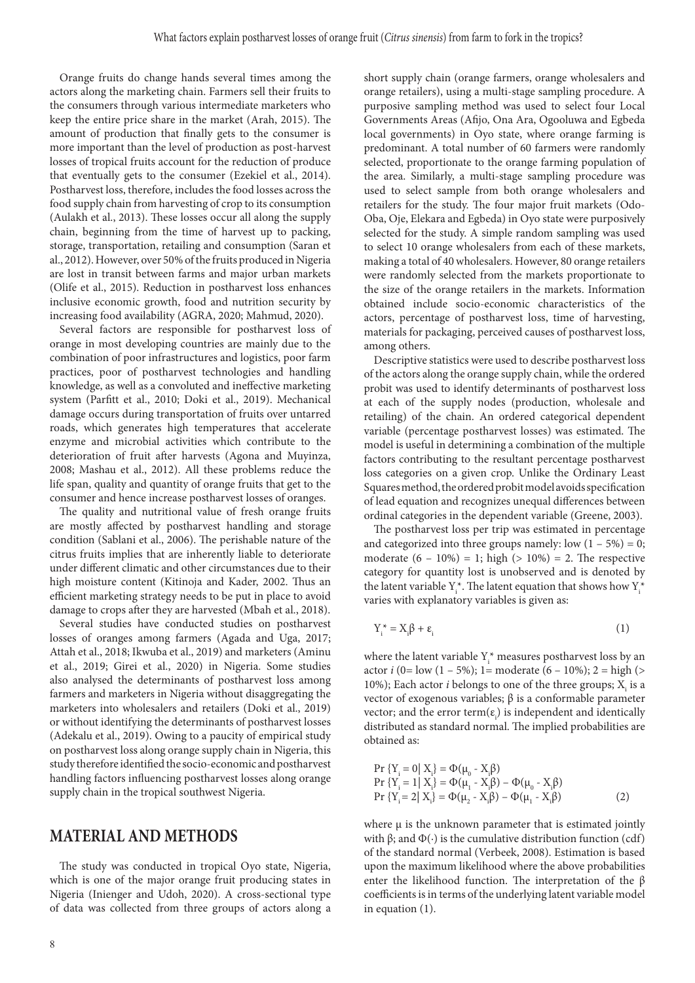Orange fruits do change hands several times among the actors along the marketing chain. Farmers sell their fruits to the consumers through various intermediate marketers who keep the entire price share in the market (Arah, 2015). The amount of production that finally gets to the consumer is more important than the level of production as post-harvest losses of tropical fruits account for the reduction of produce that eventually gets to the consumer (Ezekiel et al., 2014). Postharvest loss, therefore, includes the food losses across the food supply chain from harvesting of crop to its consumption (Aulakh et al., 2013). These losses occur all along the supply chain, beginning from the time of harvest up to packing, storage, transportation, retailing and consumption (Saran et al., 2012). However, over 50% of the fruits produced in Nigeria are lost in transit between farms and major urban markets (Olife et al., 2015). Reduction in postharvest loss enhances inclusive economic growth, food and nutrition security by increasing food availability (AGRA, 2020; Mahmud, 2020).

Several factors are responsible for postharvest loss of orange in most developing countries are mainly due to the combination of poor infrastructures and logistics, poor farm practices, poor of postharvest technologies and handling knowledge, as well as a convoluted and ineffective marketing system (Parfitt et al., 2010; Doki et al., 2019). Mechanical damage occurs during transportation of fruits over untarred roads, which generates high temperatures that accelerate enzyme and microbial activities which contribute to the deterioration of fruit after harvests (Agona and Muyinza, 2008; Mashau et al., 2012). All these problems reduce the life span, quality and quantity of orange fruits that get to the consumer and hence increase postharvest losses of oranges.

The quality and nutritional value of fresh orange fruits are mostly affected by postharvest handling and storage condition (Sablani et al., 2006). The perishable nature of the citrus fruits implies that are inherently liable to deteriorate under different climatic and other circumstances due to their high moisture content (Kitinoja and Kader, 2002. Thus an efficient marketing strategy needs to be put in place to avoid damage to crops after they are harvested (Mbah et al., 2018).

Several studies have conducted studies on postharvest losses of oranges among farmers (Agada and Uga, 2017; Attah et al., 2018; Ikwuba et al., 2019) and marketers (Aminu et al., 2019; Girei et al., 2020) in Nigeria. Some studies also analysed the determinants of postharvest loss among farmers and marketers in Nigeria without disaggregating the marketers into wholesalers and retailers (Doki et al., 2019) or without identifying the determinants of postharvest losses (Adekalu et al., 2019). Owing to a paucity of empirical study on postharvest loss along orange supply chain in Nigeria, this study therefore identified the socio-economic and postharvest handling factors influencing postharvest losses along orange supply chain in the tropical southwest Nigeria.

#### **MATERIAL AND METHODS**

The study was conducted in tropical Oyo state, Nigeria, which is one of the major orange fruit producing states in Nigeria (Inienger and Udoh, 2020). A cross-sectional type of data was collected from three groups of actors along a Governments Areas (Afijo, Ona Ara, Ogooluwa and Egbeda local governments) in Oyo state, where orange farming is predominant. A total number of 60 farmers were randomly selected, proportionate to the orange farming population of the area. Similarly, a multi-stage sampling procedure was used to select sample from both orange wholesalers and retailers for the study. The four major fruit markets (Odo-Oba, Oje, Elekara and Egbeda) in Oyo state were purposively selected for the study. A simple random sampling was used to select 10 orange wholesalers from each of these markets, making a total of 40 wholesalers. However, 80 orange retailers were randomly selected from the markets proportionate to the size of the orange retailers in the markets. Information obtained include socio-economic characteristics of the actors, percentage of postharvest loss, time of harvesting, materials for packaging, perceived causes of postharvest loss, among others. Descriptive statistics were used to describe postharvest loss

of the actors along the orange supply chain, while the ordered probit was used to identify determinants of postharvest loss at each of the supply nodes (production, wholesale and retailing) of the chain. An ordered categorical dependent variable (percentage postharvest losses) was estimated. The model is useful in determining a combination of the multiple factors contributing to the resultant percentage postharvest loss categories on a given crop. Unlike the Ordinary Least Squares method, the ordered probit model avoids specification of lead equation and recognizes unequal differences between ordinal categories in the dependent variable (Greene, 2003).

short supply chain (orange farmers, orange wholesalers and orange retailers), using a multi-stage sampling procedure. A purposive sampling method was used to select four Local

The postharvest loss per trip was estimated in percentage and categorized into three groups namely: low  $(1 - 5\%) = 0$ ; moderate  $(6 - 10\%) = 1$ ; high  $(> 10\%) = 2$ . The respective category for quantity lost is unobserved and is denoted by the latent variable  $Y_i^*$ . The latent equation that shows how  $Y_i^*$ varies with explanatory variables is given as:

$$
Y_i^* = X_i \beta + \varepsilon_i \tag{1}
$$

where the latent variable  $Y^*$  measures postharvest loss by an actor *i* (0= low (1 – 5%); 1= moderate (6 – 10%); 2 = high (> 10%); Each actor *i* belongs to one of the three groups;  $X_i$  is a vector of exogenous variables; β is a conformable parameter vector; and the error term $(\varepsilon_i)$  is independent and identically distributed as standard normal. The implied probabilities are obtained as:

Pr {Yi = 0| Xi } = Φ(µ0 - Xi β) Pr {Yi = 1| Xi } = Φ(µ1 - Xi β) – Φ(µ0 - Xi β) Pr {Yi = 2| Xi } = Φ(µ2 - Xi β) – Φ(µ1 - Xi β) (2)

where  $\mu$  is the unknown parameter that is estimated jointly with  $β$ ; and  $Φ(·)$  is the cumulative distribution function (cdf) of the standard normal (Verbeek, 2008). Estimation is based upon the maximum likelihood where the above probabilities enter the likelihood function. The interpretation of the  $\beta$ coefficients is in terms of the underlying latent variable model in equation (1).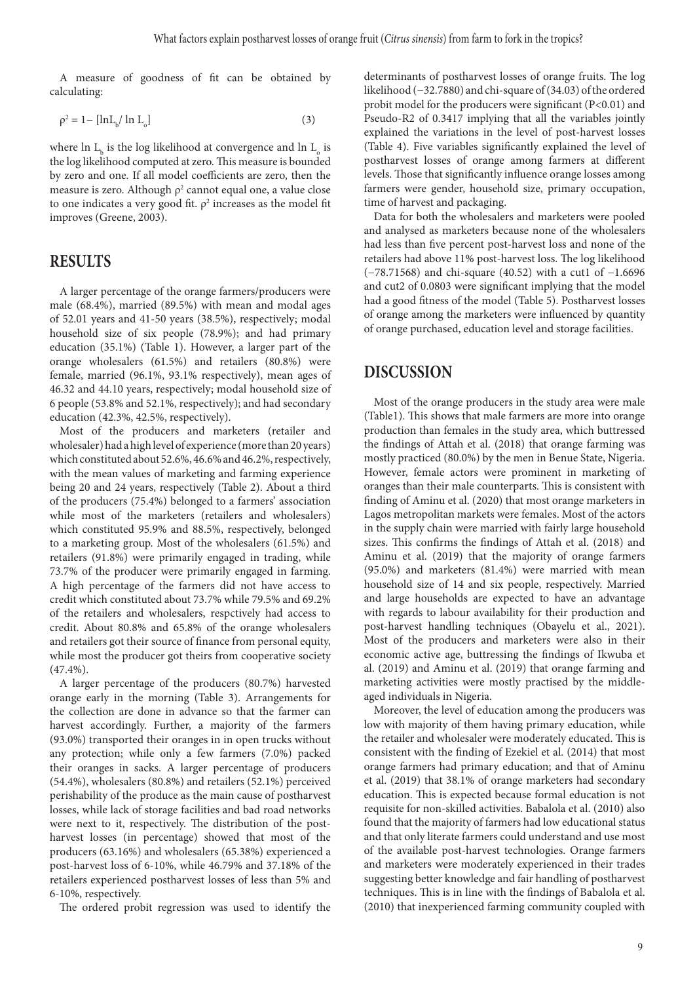A measure of goodness of fit can be obtained by calculating:

$$
\rho^2 = 1 - \left[ \ln L_b / \ln L_o \right] \tag{3}
$$

where  $\ln\,L_{_{\rm b}}$  is the log likelihood at convergence and  $\ln\,L_{_{\rm o}}$  is the log likelihood computed at zero. This measure is bounded by zero and one. If all model coefficients are zero, then the measure is zero. Although  $\rho^2$  cannot equal one, a value close to one indicates a very good fit.  $\rho^2$  increases as the model fit improves (Greene, 2003).

#### **RESULTS**

A larger percentage of the orange farmers/producers were male (68.4%), married (89.5%) with mean and modal ages of 52.01 years and 41-50 years (38.5%), respectively; modal household size of six people (78.9%); and had primary education (35.1%) (Table 1). However, a larger part of the orange wholesalers (61.5%) and retailers (80.8%) were female, married (96.1%, 93.1% respectively), mean ages of 46.32 and 44.10 years, respectively; modal household size of 6 people (53.8% and 52.1%, respectively); and had secondary education (42.3%, 42.5%, respectively).

Most of the producers and marketers (retailer and wholesaler) had a high level of experience (more than 20 years) which constituted about 52.6%, 46.6% and 46.2%, respectively, with the mean values of marketing and farming experience being 20 and 24 years, respectively (Table 2). About a third of the producers (75.4%) belonged to a farmers' association while most of the marketers (retailers and wholesalers) which constituted 95.9% and 88.5%, respectively, belonged to a marketing group. Most of the wholesalers (61.5%) and retailers (91.8%) were primarily engaged in trading, while 73.7% of the producer were primarily engaged in farming. A high percentage of the farmers did not have access to credit which constituted about 73.7% while 79.5% and 69.2% of the retailers and wholesalers, respctively had access to credit. About 80.8% and 65.8% of the orange wholesalers and retailers got their source of finance from personal equity, while most the producer got theirs from cooperative society (47.4%).

A larger percentage of the producers (80.7%) harvested orange early in the morning (Table 3). Arrangements for the collection are done in advance so that the farmer can harvest accordingly. Further, a majority of the farmers (93.0%) transported their oranges in in open trucks without any protection; while only a few farmers (7.0%) packed their oranges in sacks. A larger percentage of producers (54.4%), wholesalers (80.8%) and retailers (52.1%) perceived perishability of the produce as the main cause of postharvest losses, while lack of storage facilities and bad road networks were next to it, respectively. The distribution of the postharvest losses (in percentage) showed that most of the producers (63.16%) and wholesalers (65.38%) experienced a post-harvest loss of 6-10%, while 46.79% and 37.18% of the retailers experienced postharvest losses of less than 5% and 6-10%, respectively.

The ordered probit regression was used to identify the

determinants of postharvest losses of orange fruits. The log likelihood (−32.7880) and chi-square of (34.03) of the ordered probit model for the producers were significant (P<0.01) and Pseudo-R2 of 0.3417 implying that all the variables jointly explained the variations in the level of post-harvest losses (Table 4). Five variables significantly explained the level of postharvest losses of orange among farmers at different levels. Those that significantly influence orange losses among farmers were gender, household size, primary occupation, time of harvest and packaging.

Data for both the wholesalers and marketers were pooled and analysed as marketers because none of the wholesalers had less than five percent post-harvest loss and none of the retailers had above 11% post-harvest loss. The log likelihood (−78.71568) and chi-square (40.52) with a cut1 of −1.6696 and cut2 of 0.0803 were significant implying that the model had a good fitness of the model (Table 5). Postharvest losses of orange among the marketers were influenced by quantity of orange purchased, education level and storage facilities.

#### **DISCUSSION**

Most of the orange producers in the study area were male (Table1). This shows that male farmers are more into orange production than females in the study area, which buttressed the findings of Attah et al. (2018) that orange farming was mostly practiced (80.0%) by the men in Benue State, Nigeria. However, female actors were prominent in marketing of oranges than their male counterparts. This is consistent with finding of Aminu et al. (2020) that most orange marketers in Lagos metropolitan markets were females. Most of the actors in the supply chain were married with fairly large household sizes. This confirms the findings of Attah et al. (2018) and Aminu et al. (2019) that the majority of orange farmers (95.0%) and marketers (81.4%) were married with mean household size of 14 and six people, respectively. Married and large households are expected to have an advantage with regards to labour availability for their production and post-harvest handling techniques (Obayelu et al., 2021). Most of the producers and marketers were also in their economic active age, buttressing the findings of Ikwuba et al. (2019) and Aminu et al. (2019) that orange farming and marketing activities were mostly practised by the middleaged individuals in Nigeria.

Moreover, the level of education among the producers was low with majority of them having primary education, while the retailer and wholesaler were moderately educated. This is consistent with the finding of Ezekiel et al. (2014) that most orange farmers had primary education; and that of Aminu et al. (2019) that 38.1% of orange marketers had secondary education. This is expected because formal education is not requisite for non-skilled activities. Babalola et al. (2010) also found that the majority of farmers had low educational status and that only literate farmers could understand and use most of the available post-harvest technologies. Orange farmers and marketers were moderately experienced in their trades suggesting better knowledge and fair handling of postharvest techniques. This is in line with the findings of Babalola et al. (2010) that inexperienced farming community coupled with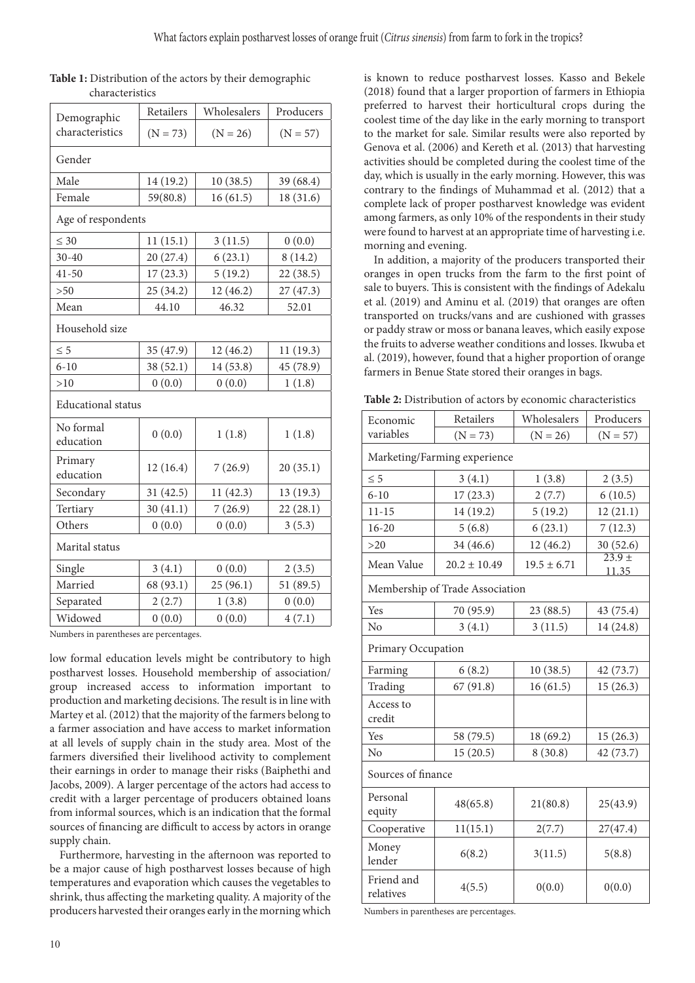| Demographic               | Retailers  | Wholesalers |            |  |  |  |
|---------------------------|------------|-------------|------------|--|--|--|
| characteristics           | $(N = 73)$ | $(N = 26)$  | $(N = 57)$ |  |  |  |
| Gender                    |            |             |            |  |  |  |
| Male                      | 14 (19.2)  | 10(38.5)    |            |  |  |  |
| Female                    | 59(80.8)   | 16(61.5)    | 18 (31.6)  |  |  |  |
| Age of respondents        |            |             |            |  |  |  |
| $\leq 30$                 | 11(15.1)   | 3(11.5)     | 0(0.0)     |  |  |  |
| $30 - 40$                 | 20 (27.4)  | 6(23.1)     | 8(14.2)    |  |  |  |
| $41 - 50$                 | 17(23.3)   | 5(19.2)     | 22(38.5)   |  |  |  |
| >50                       | 25(34.2)   | 12(46.2)    | 27(47.3)   |  |  |  |
| Mean                      | 44.10      | 46.32       | 52.01      |  |  |  |
| Household size            |            |             |            |  |  |  |
| $\leq 5$                  | 35 (47.9)  | 12(46.2)    | 11(19.3)   |  |  |  |
| $6 - 10$                  | 38 (52.1)  | 14 (53.8)   | 45 (78.9)  |  |  |  |
| >10                       | 0(0.0)     | 0(0.0)      | 1(1.8)     |  |  |  |
| <b>Educational</b> status |            |             |            |  |  |  |
| No formal<br>education    | 0(0.0)     | 1(1.8)      | 1(1.8)     |  |  |  |
| Primary<br>education      | 12(16.4)   | 7(26.9)     | 20(35.1)   |  |  |  |
| Secondary                 | 31(42.5)   | 11(42.3)    | 13(19.3)   |  |  |  |
| Tertiary                  | 30(41.1)   | 7(26.9)     | 22(28.1)   |  |  |  |
| Others                    | 0(0.0)     | 0(0.0)      | 3(5.3)     |  |  |  |
| Marital status            |            |             |            |  |  |  |
| Single                    | 3(4.1)     | 0(0.0)      | 2(3.5)     |  |  |  |
| Married                   | 68 (93.1)  | 25(96.1)    | 51 (89.5)  |  |  |  |
| Separated                 | 2(2.7)     | 1(3.8)      | 0(0.0)     |  |  |  |
| Widowed                   | 0(0.0)     | 0(0.0)      | 4(7.1)     |  |  |  |

#### **Table 1:** Distribution of the actors by their demographic characteristics

Numbers in parentheses are percentages.

low formal education levels might be contributory to high postharvest losses. Household membership of association/ group increased access to information important to production and marketing decisions. The result is in line with Martey et al. (2012) that the majority of the farmers belong to a farmer association and have access to market information at all levels of supply chain in the study area. Most of the farmers diversified their livelihood activity to complement their earnings in order to manage their risks (Baiphethi and Jacobs, 2009). A larger percentage of the actors had access to credit with a larger percentage of producers obtained loans from informal sources, which is an indication that the formal sources of financing are difficult to access by actors in orange supply chain.

Furthermore, harvesting in the afternoon was reported to be a major cause of high postharvest losses because of high temperatures and evaporation which causes the vegetables to shrink, thus affecting the marketing quality. A majority of the producers harvested their oranges early in the morning which is known to reduce postharvest losses. Kasso and Bekele (2018) found that a larger proportion of farmers in Ethiopia preferred to harvest their horticultural crops during the coolest time of the day like in the early morning to transport to the market for sale. Similar results were also reported by Genova et al. (2006) and Kereth et al. (2013) that harvesting activities should be completed during the coolest time of the day, which is usually in the early morning. However, this was contrary to the findings of Muhammad et al. (2012) that a complete lack of proper postharvest knowledge was evident among farmers, as only 10% of the respondents in their study were found to harvest at an appropriate time of harvesting i.e. morning and evening.

In addition, a majority of the producers transported their oranges in open trucks from the farm to the first point of sale to buyers. This is consistent with the findings of Adekalu et al. (2019) and Aminu et al. (2019) that oranges are often transported on trucks/vans and are cushioned with grasses or paddy straw or moss or banana leaves, which easily expose the fruits to adverse weather conditions and losses. Ikwuba et al. (2019), however, found that a higher proportion of orange farmers in Benue State stored their oranges in bags.

| Economic                                 | Retailers        | Wholesalers     | Producers            |  |  |  |
|------------------------------------------|------------------|-----------------|----------------------|--|--|--|
| variables                                | $(N = 73)$       | $(N = 26)$      | $(N = 57)$           |  |  |  |
| Marketing/Farming experience             |                  |                 |                      |  |  |  |
| $\leq 5$                                 | 3(4.1)           | 1(3.8)          | 2(3.5)               |  |  |  |
| $6 - 10$                                 | 17(23.3)         | 2(7.7)          | 6(10.5)              |  |  |  |
| $11 - 15$                                | 14 (19.2)        | 5(19.2)         | 12(21.1)             |  |  |  |
| $16 - 20$                                | 5(6.8)           | 6(23.1)         | 7(12.3)              |  |  |  |
| $>20$                                    | 34 (46.6)        | 12(46.2)        | 30(52.6)<br>$23.9 +$ |  |  |  |
| Mean Value                               | $20.2 \pm 10.49$ | $19.5 \pm 6.71$ |                      |  |  |  |
| 11.35<br>Membership of Trade Association |                  |                 |                      |  |  |  |
| Yes                                      | 70 (95.9)        | 23 (88.5)       | 43 (75.4)            |  |  |  |
| N <sub>o</sub>                           | 3(4.1)           | 3(11.5)         | 14 (24.8)            |  |  |  |
| Primary Occupation                       |                  |                 |                      |  |  |  |
| Farming                                  | 6(8.2)           | 10(38.5)        | 42 (73.7)            |  |  |  |
| Trading                                  | 67(91.8)         | 16(61.5)        | 15(26.3)             |  |  |  |
| Access to<br>credit                      |                  |                 |                      |  |  |  |
| Yes                                      | 58 (79.5)        | 18 (69.2)       | 15(26.3)             |  |  |  |
| No                                       | 15(20.5)         | 8(30.8)         | 42 (73.7)            |  |  |  |
| Sources of finance                       |                  |                 |                      |  |  |  |
| Personal<br>equity                       | 48(65.8)         | 21(80.8)        | 25(43.9)             |  |  |  |
| Cooperative                              | 11(15.1)         | 2(7.7)          | 27(47.4)             |  |  |  |
| Money<br>lender                          | 6(8.2)           | 3(11.5)         | 5(8.8)               |  |  |  |
| Friend and<br>relatives                  | 4(5.5)           | 0(0.0)          | 0(0.0)               |  |  |  |

Numbers in parentheses are percentages.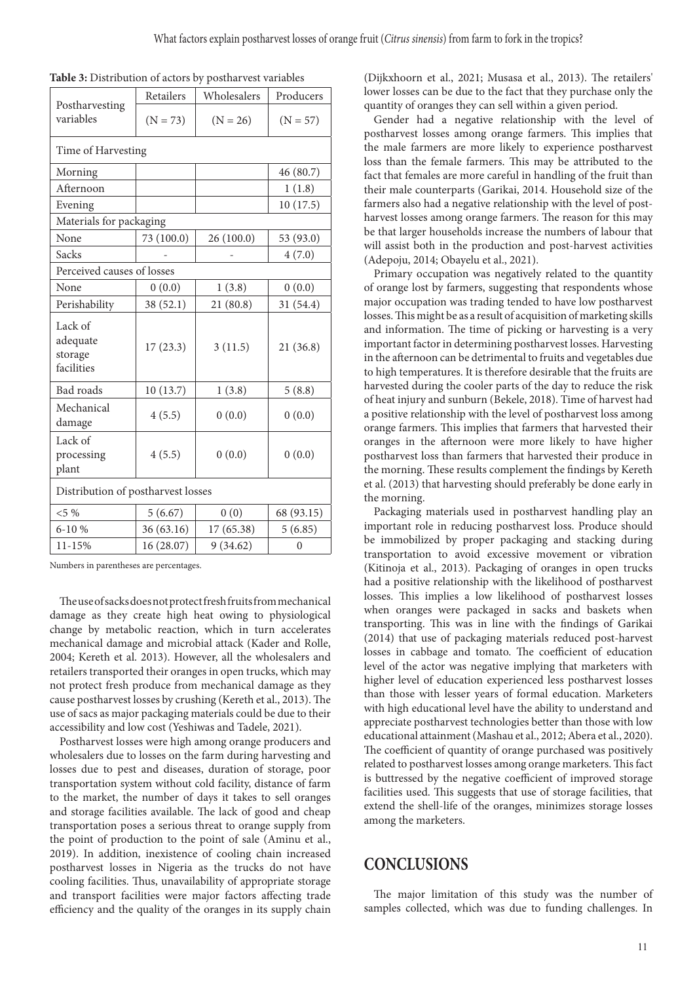| Postharvesting                               | Retailers  | Wholesalers | Producers  |  |  |  |
|----------------------------------------------|------------|-------------|------------|--|--|--|
| variables                                    | $(N = 73)$ | $(N = 26)$  | $(N = 57)$ |  |  |  |
| Time of Harvesting                           |            |             |            |  |  |  |
| Morning                                      |            |             | 46 (80.7)  |  |  |  |
| Afternoon                                    |            |             | 1(1.8)     |  |  |  |
| Evening                                      |            |             | 10(17.5)   |  |  |  |
| Materials for packaging                      |            |             |            |  |  |  |
| None                                         | 73 (100.0) | 26 (100.0)  | 53 (93.0)  |  |  |  |
| Sacks                                        |            |             | 4(7.0)     |  |  |  |
| Perceived causes of losses                   |            |             |            |  |  |  |
| None                                         | 0(0.0)     | 1(3.8)      | 0(0.0)     |  |  |  |
| Perishability                                | 38 (52.1)  | 21(80.8)    | 31 (54.4)  |  |  |  |
| Lack of<br>adequate<br>storage<br>facilities | 17(23.3)   | 3(11.5)     | 21(36.8)   |  |  |  |
| <b>Bad</b> roads                             | 10(13.7)   | 1(3.8)      | 5(8.8)     |  |  |  |
| Mechanical<br>damage                         | 4(5.5)     | 0(0.0)      | 0(0.0)     |  |  |  |
| Lack of<br>processing<br>plant               | 4(5.5)     | 0(0.0)      | 0(0.0)     |  |  |  |
| Distribution of postharvest losses           |            |             |            |  |  |  |
| $< 5\%$                                      | 5(6.67)    | 0(0)        | 68 (93.15) |  |  |  |
| $6 - 10 %$                                   | 36 (63.16) | 17 (65.38)  | 5(6.85)    |  |  |  |
| 11-15%                                       | 16 (28.07) | 9(34.62)    | $\theta$   |  |  |  |

Numbers in parentheses are percentages.

The use of sacks does not protect fresh fruits from mechanical damage as they create high heat owing to physiological change by metabolic reaction, which in turn accelerates mechanical damage and microbial attack (Kader and Rolle, 2004; Kereth et al. 2013). However, all the wholesalers and retailers transported their oranges in open trucks, which may not protect fresh produce from mechanical damage as they cause postharvest losses by crushing (Kereth et al., 2013). The use of sacs as major packaging materials could be due to their accessibility and low cost (Yeshiwas and Tadele, 2021).

Postharvest losses were high among orange producers and wholesalers due to losses on the farm during harvesting and losses due to pest and diseases, duration of storage, poor transportation system without cold facility, distance of farm to the market, the number of days it takes to sell oranges and storage facilities available. The lack of good and cheap transportation poses a serious threat to orange supply from the point of production to the point of sale (Aminu et al., 2019). In addition, inexistence of cooling chain increased postharvest losses in Nigeria as the trucks do not have cooling facilities. Thus, unavailability of appropriate storage and transport facilities were major factors affecting trade efficiency and the quality of the oranges in its supply chain (Dijkxhoorn et al., 2021; Musasa et al., 2013). The retailers' lower losses can be due to the fact that they purchase only the quantity of oranges they can sell within a given period.

Gender had a negative relationship with the level of postharvest losses among orange farmers. This implies that the male farmers are more likely to experience postharvest loss than the female farmers. This may be attributed to the fact that females are more careful in handling of the fruit than their male counterparts (Garikai, 2014. Household size of the farmers also had a negative relationship with the level of postharvest losses among orange farmers. The reason for this may be that larger households increase the numbers of labour that will assist both in the production and post-harvest activities (Adepoju, 2014; Obayelu et al., 2021).

Primary occupation was negatively related to the quantity of orange lost by farmers, suggesting that respondents whose major occupation was trading tended to have low postharvest losses. This might be as a result of acquisition of marketing skills and information. The time of picking or harvesting is a very important factor in determining postharvest losses. Harvesting in the afternoon can be detrimental to fruits and vegetables due to high temperatures. It is therefore desirable that the fruits are harvested during the cooler parts of the day to reduce the risk of heat injury and sunburn (Bekele, 2018). Time of harvest had a positive relationship with the level of postharvest loss among orange farmers. This implies that farmers that harvested their oranges in the afternoon were more likely to have higher postharvest loss than farmers that harvested their produce in the morning. These results complement the findings by Kereth et al. (2013) that harvesting should preferably be done early in the morning.

Packaging materials used in postharvest handling play an important role in reducing postharvest loss. Produce should be immobilized by proper packaging and stacking during transportation to avoid excessive movement or vibration (Kitinoja et al., 2013). Packaging of oranges in open trucks had a positive relationship with the likelihood of postharvest losses. This implies a low likelihood of postharvest losses when oranges were packaged in sacks and baskets when transporting. This was in line with the findings of Garikai (2014) that use of packaging materials reduced post-harvest losses in cabbage and tomato. The coefficient of education level of the actor was negative implying that marketers with higher level of education experienced less postharvest losses than those with lesser years of formal education. Marketers with high educational level have the ability to understand and appreciate postharvest technologies better than those with low educational attainment (Mashau et al., 2012; Abera et al., 2020). The coefficient of quantity of orange purchased was positively related to postharvest losses among orange marketers. This fact is buttressed by the negative coefficient of improved storage facilities used. This suggests that use of storage facilities, that extend the shell-life of the oranges, minimizes storage losses among the marketers.

#### **CONCLUSIONS**

The major limitation of this study was the number of samples collected, which was due to funding challenges. In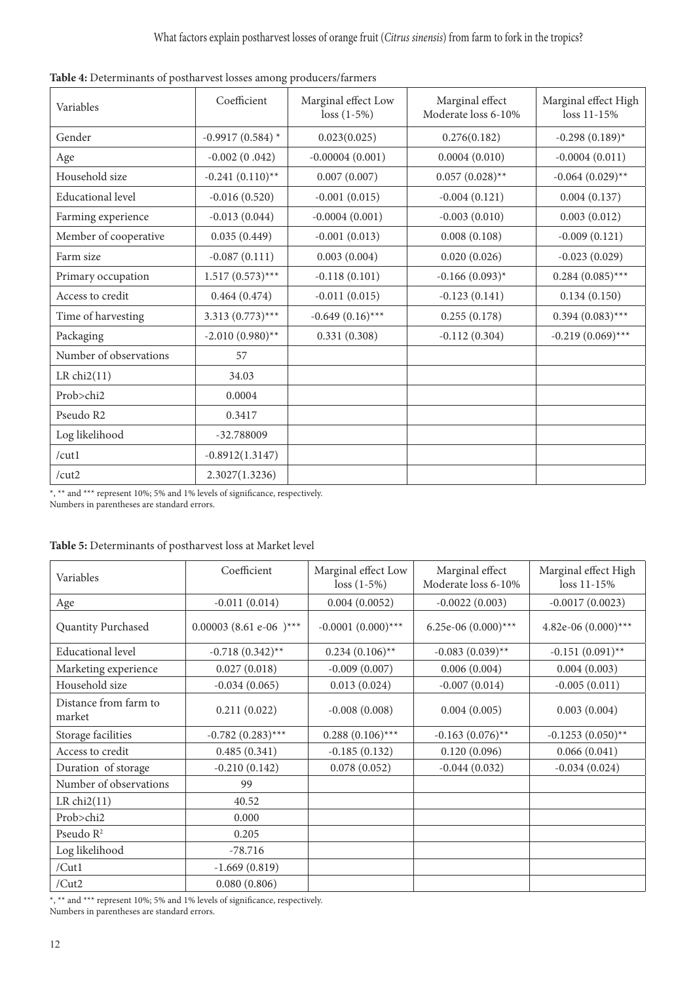| Variables                | Coefficient        | Marginal effect Low<br>$loss (1-5%)$ | Marginal effect<br>Moderate loss 6-10% | Marginal effect High<br>loss 11-15% |
|--------------------------|--------------------|--------------------------------------|----------------------------------------|-------------------------------------|
| Gender                   | $-0.9917(0.584)$ * | 0.023(0.025)                         | 0.276(0.182)                           | $-0.298(0.189)$ *                   |
| Age                      | $-0.002(0.042)$    | $-0.00004(0.001)$                    | 0.0004(0.010)                          | $-0.0004(0.011)$                    |
| Household size           | $-0.241(0.110)$ ** | 0.007(0.007)                         | $0.057(0.028)$ **                      | $-0.064$ $(0.029)$ **               |
| <b>Educational level</b> | $-0.016(0.520)$    | $-0.001(0.015)$                      | $-0.004(0.121)$                        | 0.004(0.137)                        |
| Farming experience       | $-0.013(0.044)$    | $-0.0004(0.001)$                     | $-0.003(0.010)$                        | 0.003(0.012)                        |
| Member of cooperative    | 0.035(0.449)       | $-0.001(0.013)$                      | 0.008(0.108)                           | $-0.009(0.121)$                     |
| Farm size                | $-0.087(0.111)$    | 0.003(0.004)                         | 0.020(0.026)                           | $-0.023(0.029)$                     |
| Primary occupation       | $1.517(0.573)$ *** | $-0.118(0.101)$                      | $-0.166(0.093)^{*}$                    | $0.284(0.085)$ ***                  |
| Access to credit         | 0.464(0.474)       | $-0.011(0.015)$                      | $-0.123(0.141)$                        | 0.134(0.150)                        |
| Time of harvesting       | $3.313(0.773)$ *** | $-0.649(0.16)$ ***                   | 0.255(0.178)                           | $0.394(0.083)$ ***                  |
| Packaging                | $-2.010(0.980)$ ** | 0.331(0.308)                         | $-0.112(0.304)$                        | $-0.219(0.069)$ ***                 |
| Number of observations   | 57                 |                                      |                                        |                                     |
| LR $chi2(11)$            | 34.03              |                                      |                                        |                                     |
| Prob>chi2                | 0.0004             |                                      |                                        |                                     |
| Pseudo R2                | 0.3417             |                                      |                                        |                                     |
| Log likelihood           | -32.788009         |                                      |                                        |                                     |
| /cut1                    | $-0.8912(1.3147)$  |                                      |                                        |                                     |
| /cut2                    | 2.3027(1.3236)     |                                      |                                        |                                     |

|  |  | Table 4: Determinants of postharvest losses among producers/farmers |
|--|--|---------------------------------------------------------------------|
|--|--|---------------------------------------------------------------------|

\*, \*\* and \*\*\* represent 10%; 5% and 1% levels of significance, respectively.

Numbers in parentheses are standard errors.

#### **Table 5:** Determinants of postharvest loss at Market level

| Variables                       | Coefficient              | Marginal effect Low<br>$loss (1-5%)$ | Marginal effect<br>Moderate loss 6-10% | Marginal effect High<br>loss 11-15% |
|---------------------------------|--------------------------|--------------------------------------|----------------------------------------|-------------------------------------|
| Age                             | $-0.011(0.014)$          | 0.004(0.0052)                        | $-0.0022(0.003)$                       | $-0.0017(0.0023)$                   |
| Quantity Purchased              | $0.00003$ (8.61 e-06)*** | $-0.0001(0.000)$ ***                 | 6.25e-06 $(0.000)$ ***                 | 4.82e-06 $(0.000)$ ***              |
| <b>Educational level</b>        | $-0.718(0.342)$ **       | $0.234(0.106)$ **                    | $-0.083(0.039)$ **                     | $-0.151(0.091)$ **                  |
| Marketing experience            | 0.027(0.018)             | $-0.009(0.007)$                      | 0.006(0.004)                           | 0.004(0.003)                        |
| Household size                  | $-0.034(0.065)$          | 0.013(0.024)                         | $-0.007(0.014)$                        | $-0.005(0.011)$                     |
| Distance from farm to<br>market | 0.211(0.022)             | $-0.008(0.008)$                      | 0.004(0.005)                           | 0.003(0.004)                        |
| Storage facilities              | $-0.782(0.283)$ ***      | $0.288(0.106)$ ***                   | $-0.163$ $(0.076)$ **                  | $-0.1253(0.050)$ **                 |
| Access to credit                | 0.485(0.341)             | $-0.185(0.132)$                      | 0.120(0.096)                           | 0.066(0.041)                        |
| Duration of storage             | $-0.210(0.142)$          | 0.078(0.052)                         | $-0.044(0.032)$                        | $-0.034(0.024)$                     |
| Number of observations          | 99                       |                                      |                                        |                                     |
| LR $chi2(11)$                   | 40.52                    |                                      |                                        |                                     |
| Prob>chi2                       | 0.000                    |                                      |                                        |                                     |
| Pseudo $R^2$                    | 0.205                    |                                      |                                        |                                     |
| Log likelihood                  | $-78.716$                |                                      |                                        |                                     |
| /Cut1                           | $-1.669(0.819)$          |                                      |                                        |                                     |
| /Cut2                           | 0.080(0.806)             |                                      |                                        |                                     |

\*, \*\* and \*\*\* represent 10%; 5% and 1% levels of significance, respectively. Numbers in parentheses are standard errors.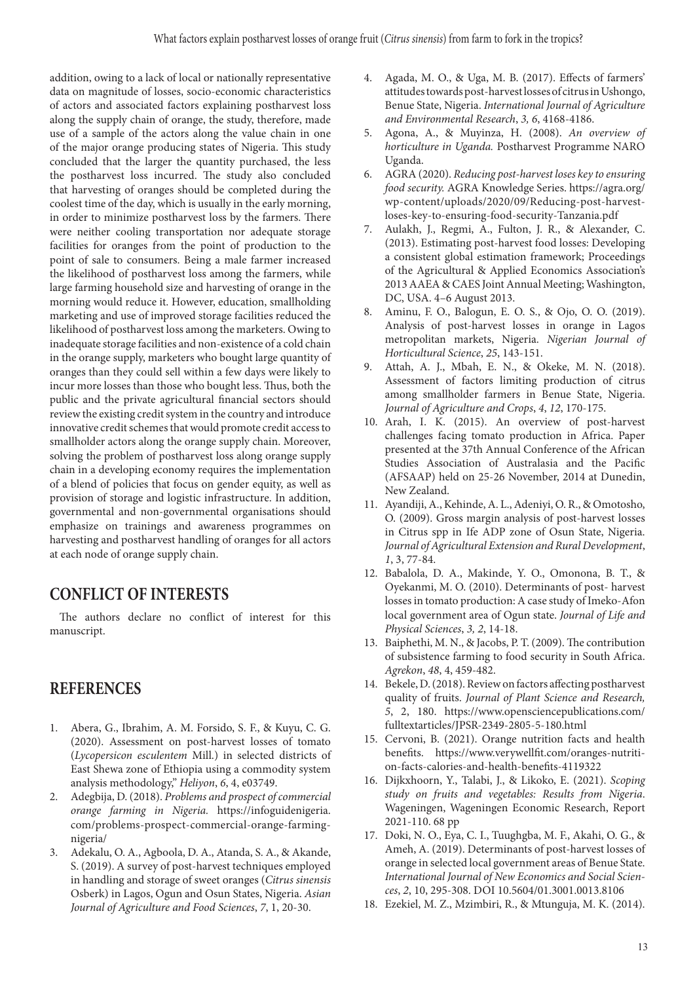addition, owing to a lack of local or nationally representative data on magnitude of losses, socio-economic characteristics of actors and associated factors explaining postharvest loss along the supply chain of orange, the study, therefore, made use of a sample of the actors along the value chain in one of the major orange producing states of Nigeria. This study concluded that the larger the quantity purchased, the less the postharvest loss incurred. The study also concluded that harvesting of oranges should be completed during the coolest time of the day, which is usually in the early morning, in order to minimize postharvest loss by the farmers. There were neither cooling transportation nor adequate storage facilities for oranges from the point of production to the point of sale to consumers. Being a male farmer increased the likelihood of postharvest loss among the farmers, while large farming household size and harvesting of orange in the morning would reduce it. However, education, smallholding marketing and use of improved storage facilities reduced the likelihood of postharvest loss among the marketers. Owing to inadequate storage facilities and non-existence of a cold chain in the orange supply, marketers who bought large quantity of oranges than they could sell within a few days were likely to incur more losses than those who bought less. Thus, both the public and the private agricultural financial sectors should review the existing credit system in the country and introduce innovative credit schemes that would promote credit access to smallholder actors along the orange supply chain. Moreover, solving the problem of postharvest loss along orange supply chain in a developing economy requires the implementation of a blend of policies that focus on gender equity, as well as provision of storage and logistic infrastructure. In addition, governmental and non-governmental organisations should emphasize on trainings and awareness programmes on harvesting and postharvest handling of oranges for all actors at each node of orange supply chain.

### **CONFLICT OF INTERESTS**

The authors declare no conflict of interest for this manuscript.

### **REFERENCES**

- 1. Abera, G., Ibrahim, A. M. Forsido, S. F., & Kuyu, C. G. (2020). Assessment on post-harvest losses of tomato (*Lycopersicon esculentem* Mill.) in selected districts of East Shewa zone of Ethiopia using a commodity system analysis methodology," *Heliyon*, *6*, 4, e03749.
- 2. Adegbija, D. (2018). *Problems and prospect of commercial orange farming in Nigeria.* https://infoguidenigeria. com/problems-prospect-commercial-orange-farmingnigeria/
- 3. Adekalu, O. A., Agboola, D. A., Atanda, S. A., & Akande, S. (2019). A survey of post-harvest techniques employed in handling and storage of sweet oranges (*Citrus sinensis* Osberk) in Lagos, Ogun and Osun States, Nigeria. *Asian Journal of Agriculture and Food Sciences*, *7*, 1, 20-30.
- 4. Agada, M. O., & Uga, M. B. (2017). Effects of farmers' attitudes towards post-harvest losses of citrus in Ushongo, Benue State, Nigeria. *International Journal of Agriculture and Environmental Research*, *3, 6*, 4168-4186.
- 5. Agona, A., & Muyinza, H. (2008). *An overview of horticulture in Uganda.* Postharvest Programme NARO Uganda.
- 6. AGRA (2020). *Reducing post-harvest loses key to ensuring food security.* AGRA Knowledge Series. https://agra.org/ wp-content/uploads/2020/09/Reducing-post-harvestloses-key-to-ensuring-food-security-Tanzania.pdf
- 7. Aulakh, J., Regmi, A., Fulton, J. R., & Alexander, C. (2013). Estimating post-harvest food losses: Developing a consistent global estimation framework; Proceedings of the Agricultural & Applied Economics Association's 2013 AAEA & CAES Joint Annual Meeting; Washington, DC, USA. 4–6 August 2013.
- 8. Aminu, F. O., Balogun, E. O. S., & Ojo, O. O. (2019). Analysis of post-harvest losses in orange in Lagos metropolitan markets, Nigeria. *Nigerian Journal of Horticultural Science*, *25*, 143-151.
- 9. Attah, A. J., Mbah, E. N., & Okeke, M. N. (2018). Assessment of factors limiting production of citrus among smallholder farmers in Benue State, Nigeria. *Journal of Agriculture and Crops*, *4*, *12*, 170-175.
- 10. Arah, I. K. (2015). An overview of post-harvest challenges facing tomato production in Africa. Paper presented at the 37th Annual Conference of the African Studies Association of Australasia and the Pacific (AFSAAP) held on 25-26 November, 2014 at Dunedin, New Zealand.
- 11. Ayandiji, A., Kehinde, A. L., Adeniyi, O. R., & Omotosho, O. (2009). Gross margin analysis of post-harvest losses in Citrus spp in Ife ADP zone of Osun State, Nigeria. *Journal of Agricultural Extension and Rural Development*, *1*, 3, 77-84.
- 12. Babalola, D. A., Makinde, Y. O., Omonona, B. T., & Oyekanmi, M. O. (2010). Determinants of post- harvest losses in tomato production: A case study of Imeko-Afon local government area of Ogun state. *Journal of Life and Physical Sciences*, *3, 2*, 14-18.
- 13. Baiphethi, M. N., & Jacobs, P. T. (2009). The contribution of subsistence farming to food security in South Africa. *Agrekon*, *48*, 4, 459-482.
- 14. Bekele, D. (2018). Review on factors affecting postharvest quality of fruits. *Journal of Plant Science and Research, 5*, 2, 180. https://www.opensciencepublications.com/ fulltextarticles/JPSR-2349-2805-5-180.html
- 15. Cervoni, B. (2021). Orange nutrition facts and health benefits. https://www.verywellfit.com/oranges-nutrition-facts-calories-and-health-benefits-4119322
- 16. Dijkxhoorn, Y., Talabi, J., & Likoko, E. (2021). *Scoping study on fruits and vegetables: Results from Nigeria*. Wageningen, Wageningen Economic Research, Report 2021-110. 68 pp
- 17. Doki, N. O., Eya, C. I., Tuughgba, M. F., Akahi, O. G., & Ameh, A. (2019). Determinants of post-harvest losses of orange in selected local government areas of Benue State. *International Journal of New Economics and Social Sciences*, *2*, 10, 295-308. DOI 10.5604/01.3001.0013.8106
- 18. Ezekiel, M. Z., Mzimbiri, R., & Mtunguja, M. K. (2014).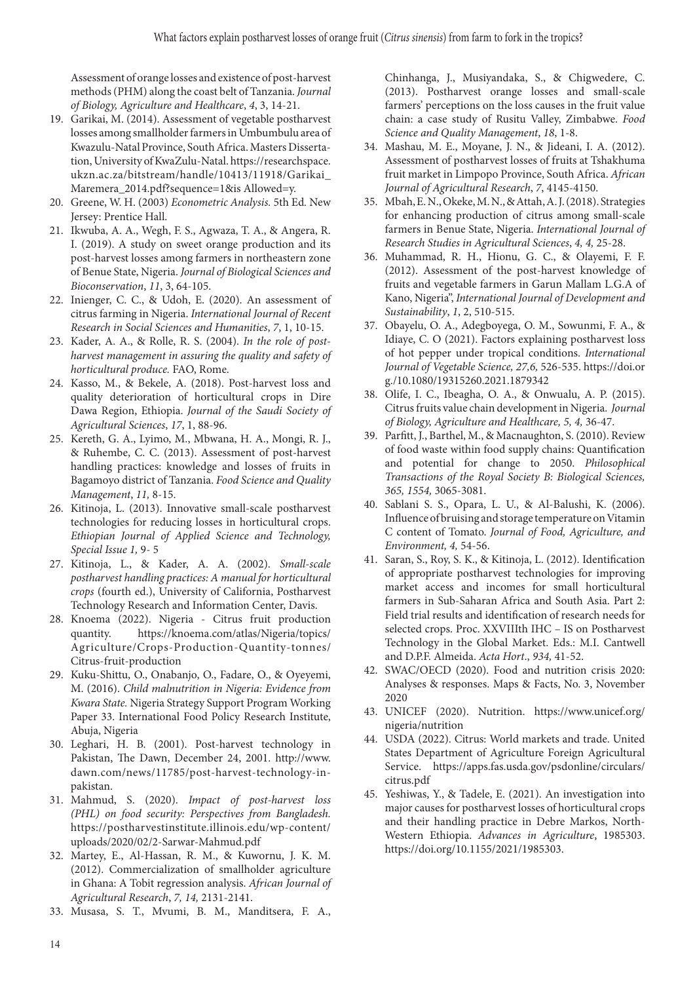Assessment of orange losses and existence of post-harvest methods (PHM) along the coast belt of Tanzania. *Journal of Biology, Agriculture and Healthcare*, *4*, 3, 14-21.

- 19. Garikai, M. (2014). Assessment of vegetable postharvest losses among smallholder farmers in Umbumbulu area of Kwazulu-Natal Province, South Africa. Masters Dissertation, University of KwaZulu-Natal. https://researchspace. ukzn.ac.za/bitstream/handle/10413/11918/Garikai\_ Maremera\_2014.pdf?sequence=1&is Allowed=y.
- 20. Greene, W. H. (2003) *Econometric Analysis.* 5th Ed*.* New Jersey: Prentice Hall.
- 21. Ikwuba, A. A., Wegh, F. S., Agwaza, T. A., & Angera, R. I. (2019). A study on sweet orange production and its post-harvest losses among farmers in northeastern zone of Benue State, Nigeria. *Journal of Biological Sciences and Bioconservation*, *11*, 3, 64-105.
- 22. Inienger, C. C., & Udoh, E. (2020). An assessment of citrus farming in Nigeria. *International Journal of Recent Research in Social Sciences and Humanities*, *7*, 1, 10-15.
- 23. Kader, A. A., & Rolle, R. S. (2004). *In the role of postharvest management in assuring the quality and safety of horticultural produce.* FAO, Rome.
- 24. Kasso, M., & Bekele, A. (2018). Post-harvest loss and quality deterioration of horticultural crops in Dire Dawa Region, Ethiopia. *Journal of the Saudi Society of Agricultural Sciences*, *17*, 1, 88-96.
- 25. Kereth, G. A., Lyimo, M., Mbwana, H. A., Mongi, R. J., & Ruhembe, C. C. (2013). Assessment of post-harvest handling practices: knowledge and losses of fruits in Bagamoyo district of Tanzania. *Food Science and Quality Management*, *11,* 8-15.
- 26. Kitinoja, L. (2013). Innovative small-scale postharvest technologies for reducing losses in horticultural crops. *Ethiopian Journal of Applied Science and Technology, Special Issue 1,* 9- 5
- 27. Kitinoja, L., & Kader, A. A. (2002). *Small-scale postharvest handling practices: A manual for horticultural crops* (fourth ed.), University of California, Postharvest Technology Research and Information Center, Davis.
- 28. Knoema (2022). Nigeria Citrus fruit production quantity. https://knoema.com/atlas/Nigeria/topics/ Agriculture/Crops-Production-Quantity-tonnes/ Citrus-fruit-production
- 29. Kuku-Shittu, O., Onabanjo, O., Fadare, O., & Oyeyemi, M. (2016). *Child malnutrition in Nigeria: Evidence from Kwara State.* Nigeria Strategy Support Program Working Paper 33. International Food Policy Research Institute, Abuja, Nigeria
- 30. Leghari, H. B. (2001). Post-harvest technology in Pakistan, The Dawn, December 24, 2001. http://www. dawn.com/news/11785/post-harvest-technology-inpakistan.
- 31. Mahmud, S. (2020). *Impact of post-harvest loss (PHL) on food security: Perspectives from Bangladesh.*  https://postharvestinstitute.illinois.edu/wp-content/ uploads/2020/02/2-Sarwar-Mahmud.pdf
- 32. Martey, E., Al-Hassan, R. M., & Kuwornu, J. K. M. (2012). Commercialization of smallholder agriculture in Ghana: A Tobit regression analysis. *African Journal of Agricultural Research*, *7, 14,* 2131-2141.
- 33. Musasa, S. T., Mvumi, B. M., Manditsera, F. A.,

Chinhanga, J., Musiyandaka, S., & Chigwedere, C. (2013). Postharvest orange losses and small-scale farmers' perceptions on the loss causes in the fruit value chain: a case study of Rusitu Valley, Zimbabwe. *Food Science and Quality Management*, *18*, 1-8.

- 34. Mashau, M. E., Moyane, J. N., & Jideani, I. A. (2012). Assessment of postharvest losses of fruits at Tshakhuma fruit market in Limpopo Province, South Africa. *African Journal of Agricultural Research*, *7*, 4145-4150.
- 35. Mbah, E. N., Okeke, M. N., & Attah, A. J. (2018). Strategies for enhancing production of citrus among small-scale farmers in Benue State, Nigeria. *International Journal of Research Studies in Agricultural Sciences*, *4, 4,* 25-28.
- 36. Muhammad, R. H., Hionu, G. C., & Olayemi, F. F. (2012). Assessment of the post-harvest knowledge of fruits and vegetable farmers in Garun Mallam L.G.A of Kano, Nigeria", *International Journal of Development and Sustainability*, *1*, 2, 510-515.
- 37. Obayelu, O. A., Adegboyega, O. M., Sowunmi, F. A., & Idiaye, C. O (2021). Factors explaining postharvest loss of hot pepper under tropical conditions. *International Journal of Vegetable Science, 27,6,* 526-535. https://doi.or g./10.1080/19315260.2021.1879342
- 38. Olife, I. C., Ibeagha, O. A., & Onwualu, A. P. (2015). Citrus fruits value chain development in Nigeria. *Journal of Biology, Agriculture and Healthcare, 5, 4,* 36-47.
- 39. Parfitt, J., Barthel, M., & Macnaughton, S. (2010). Review of food waste within food supply chains: Quantification and potential for change to 2050. *Philosophical Transactions of the Royal Society B: Biological Sciences, 365, 1554,* 3065-3081.
- 40. Sablani S. S., Opara, L. U., & Al-Balushi, K. (2006). Influence of bruising and storage temperature on Vitamin C content of Tomato. *Journal of Food, Agriculture, and Environment, 4,* 54-56.
- 41. Saran, S., Roy, S. K., & Kitinoja, L. (2012). Identification of appropriate postharvest technologies for improving market access and incomes for small horticultural farmers in Sub-Saharan Africa and South Asia. Part 2: Field trial results and identification of research needs for selected crops. Proc. XXVIIIth IHC – IS on Postharvest Technology in the Global Market. Eds.: M.I. Cantwell and D.P.F. Almeida. *Acta Hort*., *934,* 41-52.
- 42. SWAC/OECD (2020). Food and nutrition crisis 2020: Analyses & responses. Maps & Facts, No. 3, November 2020
- 43. UNICEF (2020). Nutrition. https://www.unicef.org/ nigeria/nutrition
- 44. USDA (2022). Citrus: World markets and trade. United States Department of Agriculture Foreign Agricultural Service. https://apps.fas.usda.gov/psdonline/circulars/ citrus.pdf
- 45. Yeshiwas, Y., & Tadele, E. (2021). An investigation into major causes for postharvest losses of horticultural crops and their handling practice in Debre Markos, North-Western Ethiopia. *Advances in Agriculture*, 1985303. https://doi.org/10.1155/2021/1985303.